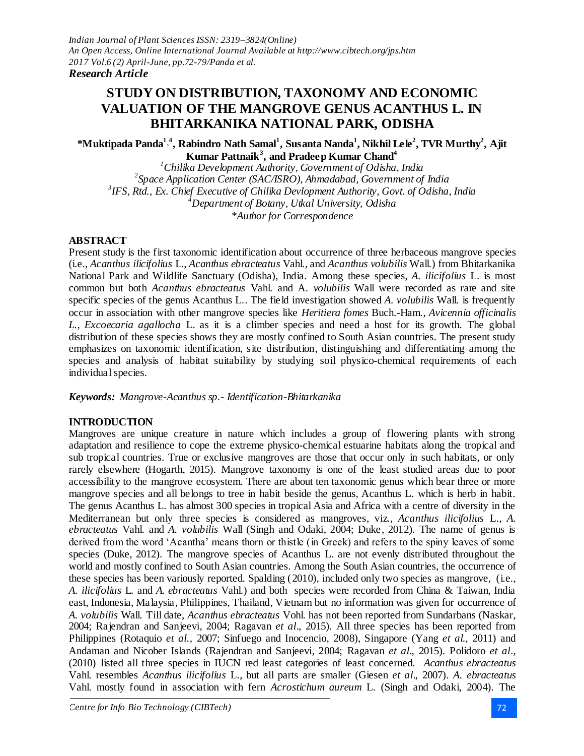# **STUDY ON DISTRIBUTION, TAXONOMY AND ECONOMIC VALUATION OF THE MANGROVE GENUS ACANTHUS L. IN BHITARKANIKA NATIONAL PARK, ODISHA**

**\*Muktipada Panda<sup>1</sup> ' 4 , Rabindro Nath Samal<sup>1</sup> , Susanta Nanda<sup>1</sup> , Nikhil Lele<sup>2</sup> , TVR Murthy 2 , Ajit Kumar Pattnaik<sup>3</sup> , and Pradeep Kumar Chand<sup>4</sup>**

*Chilika Development Authority, Government of Odisha, India Space Application Center (SAC/ISRO), Ahmadabad, Government of India IFS, Rtd., Ex. Chief Executive of Chilika Devlopment Authority, Govt. of Odisha, India Department of Botany, Utkal University, Odisha \*Author for Correspondence*

### **ABSTRACT**

Present study is the first taxonomic identification about occurrence of three herbaceous mangrove species (i.e., *Acanthus ilicifolius* L., *Acanthus ebracteatus* Vahl., and *Acanthus volubilis* Wall.) from Bhitarkanika National Park and Wildlife Sanctuary (Odisha), India. Among these species, *A. ilicifolius* L. is most common but both *Acanthus ebracteatus* Vahl. and A*. volubilis* Wall were recorded as rare and site specific species of the genus Acanthus L.. The field investigation showed *A. volubilis* Wall. is frequently occur in association with other mangrove species like *Heritiera fomes* Buch.-Ham*.*, *Avicennia officinalis L.*, *Excoecaria agallocha* L. as it is a climber species and need a host for its growth. The global distribution of these species shows they are mostly confined to South Asian countries. The present study emphasizes on taxonomic identification, site distribution, distinguishing and differentiating among the species and analysis of habitat suitability by studying soil physico-chemical requirements of each individual species.

*Keywords: Mangrove-Acanthus sp.- Identification-Bhitarkanika*

## **INTRODUCTION**

Mangroves are unique creature in nature which includes a group of flowering plants with strong adaptation and resilience to cope the extreme physico-chemical estuarine habitats along the tropical and sub tropical countries. True or exclusive mangroves are those that occur only in such habitats, or only rarely elsewhere (Hogarth, 2015). Mangrove taxonomy is one of the least studied areas due to poor accessibility to the mangrove ecosystem. There are about ten taxonomic genus which bear three or more mangrove species and all belongs to tree in habit beside the genus, Acanthus L. which is herb in habit. The genus Acanthus L. has almost 300 species in tropical Asia and Africa with a centre of diversity in the Mediterranean but only three species is considered as mangroves, viz., *Acanthus ilicifolius* L., *A. ebracteatus* Vahl. and *A. volubilis* Wall (Singh and Odaki, 2004; Duke, 2012). The name of genus is derived from the word 'Acantha' means thorn or thistle (in Greek) and refers to the spiny leaves of some species (Duke, 2012). The mangrove species of Acanthus L. are not evenly distributed throughout the world and mostly confined to South Asian countries. Among the South Asian countries, the occurrence of these species has been variously reported. Spalding (2010), included only two species as mangrove, (i.e., *A. ilicifolius* L. and *A. ebracteatus* Vahl.) and both species were recorded from China & Taiwan, India east, Indonesia, Malaysia, Philippines, Thailand, Vietnam but no information was given for occurrence of *A. volubilis* Wall. Till date, *Acanthus ebracteatus* Vohl. has not been reported from Sundarbans (Naskar, 2004; Rajendran and Sanjeevi, 2004; Ragavan *et al*.*,* 2015). All three species has been reported from Philippines (Rotaquio *et al.,* 2007; Sinfuego and Inocencio, 2008), Singapore (Yang *et al*.*,* 2011) and Andaman and Nicober Islands (Rajendran and Sanjeevi, 2004; Ragavan *et al*.*,* 2015). Polidoro *et al*.*,* (2010) listed all three species in IUCN red least categories of least concerned. *Acanthus ebracteatus* Vahl. resembles *Acanthus ilicifolius* L., but all parts are smaller (Giesen *et al*.*,* 2007). *A. ebracteatus* Vahl. mostly found in association with fern *Acrostichum aureum* L. (Singh and Odaki, 2004). The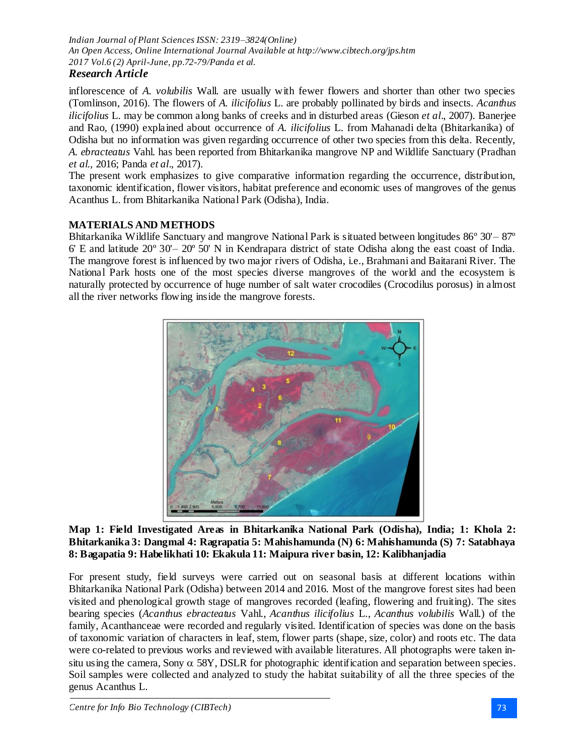# *Research Article*

inflorescence of *A. volubilis* Wall. are usually with fewer flowers and shorter than other two species (Tomlinson, 2016). The flowers of *A. ilicifolius* L. are probably pollinated by birds and insects. *Acanthus ilicifolius* L. may be common along banks of creeks and in disturbed areas (Gieson *et al*.*,* 2007). Banerjee and Rao*,* (1990) explained about occurrence of *A. ilicifolius* L. from Mahanadi delta (Bhitarkanika) of Odisha but no information was given regarding occurrence of other two species from this delta. Recently, *A. ebracteatus* Vahl. has been reported from Bhitarkanika mangrove NP and Wildlife Sanctuary (Pradhan *et al*.*,* 2016; Panda *et al*.*,* 2017).

The present work emphasizes to give comparative information regarding the occurrence, distribution, taxonomic identification, flower visitors, habitat preference and economic uses of mangroves of the genus Acanthus L. from Bhitarkanika National Park (Odisha), India.

# **MATERIALS AND METHODS**

Bhitarkanika Wildlife Sanctuary and mangrove National Park is situated between longitudes 86º 30'– 87º 6' E and latitude 20º 30'– 20º 50' N in Kendrapara district of state Odisha along the east coast of India. The mangrove forest is influenced by two major rivers of Odisha, i.e., Brahmani and Baitarani River. The National Park hosts one of the most species diverse mangroves of the world and the ecosystem is naturally protected by occurrence of huge number of salt water crocodiles (Crocodilus porosus) in almost all the river networks flowing inside the mangrove forests.



### **Map 1: Field Investigated Areas in Bhitarkanika National Park (Odisha), India; 1: Khola 2: Bhitarkanika 3: Dangmal 4: Ragrapatia 5: Mahishamunda (N) 6: Mahishamunda (S) 7: Satabhaya 8: Bagapatia 9: Habelikhati 10: Ekakula 11: Maipura river basin, 12: Kalibhanjadia**

For present study, field surveys were carried out on seasonal basis at different locations within Bhitarkanika National Park (Odisha) between 2014 and 2016. Most of the mangrove forest sites had been visited and phenological growth stage of mangroves recorded (leafing, flowering and fruiting). The sites bearing species (*Acanthus ebracteatus* Vahl., *Acanthus ilicifolius* L., *Acanthus volubilis* Wall.) of the family, Acanthanceae were recorded and regularly visited. Identification of species was done on the basis of taxonomic variation of characters in leaf, stem, flower parts (shape, size, color) and roots etc. The data were co-related to previous works and reviewed with available literatures. All photographs were taken insitu using the camera, Sony  $\alpha$  58Y, DSLR for photographic identification and separation between species. Soil samples were collected and analyzed to study the habitat suitability of all the three species of the genus Acanthus L.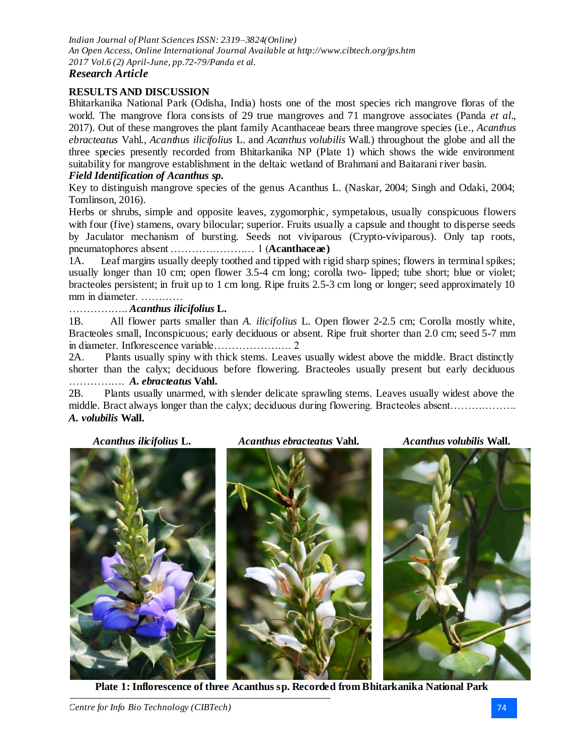### *Research Article*

### **RESULTS AND DISCUSSION**

Bhitarkanika National Park (Odisha, India) hosts one of the most species rich mangrove floras of the world. The mangrove flora consists of 29 true mangroves and 71 mangrove associates (Panda *et al*.*,* 2017). Out of these mangroves the plant family Acanthaceae bears three mangrove species (i.e., *Acanthus ebracteatus* Vahl., *Acanthus ilicifolius* L. and *Acanthus volubilis* Wall.) throughout the globe and all the three species presently recorded from Bhitarkanika NP (Plate 1) which shows the wide environment suitability for mangrove establishment in the deltaic wetland of Brahmani and Baitarani river basin. *Field Identification of Acanthus sp.*

Key to distinguish mangrove species of the genus Acanthus L. (Naskar, 2004; Singh and Odaki, 2004; Tomlinson, 2016).

Herbs or shrubs, simple and opposite leaves, zygomorphic, sympetalous, usually conspicuous flowers with four (five) stamens, ovary bilocular; superior. Fruits usually a capsule and thought to disperse seeds by Jaculator mechanism of bursting. Seeds not viviparous (Crypto-viviparous). Only tap roots, pneumatophores absent …………………… 1 (**Acanthaceae)**

1A. Leaf margins usually deeply toothed and tipped with rigid sharp spines; flowers in terminal spikes; usually longer than 10 cm; open flower 3.5-4 cm long; corolla two- lipped; tube short; blue or violet; bracteoles persistent; in fruit up to 1 cm long. Ripe fruits 2.5-3 cm long or longer; seed approximately 10 mm in diameter. …………

### …………….. *Acanthus ilicifolius* **L.**

1B. All flower parts smaller than *A. ilicifolius* L. Open flower 2-2.5 cm; Corolla mostly white, Bracteoles small, Inconspicuous; early deciduous or absent. Ripe fruit shorter than 2.0 cm; seed 5-7 mm in diameter. Inflorescence variable…………………. 2

2A. Plants usually spiny with thick stems. Leaves usually widest above the middle. Bract distinctly shorter than the calyx; deciduous before flowering. Bracteoles usually present but early deciduous ……………. *A. ebracteatus* **Vahl.**

2B. Plants usually unarmed, with slender delicate sprawling stems. Leaves usually widest above the middle. Bract always longer than the calyx; deciduous during flowering. Bracteoles absent………………. *A. volubilis* **Wall.**

*Acanthus ilicifolius* **L.** *Acanthus ebracteatus* **Vahl.** *Acanthus volubilis* **Wall.**





**Plate 1: Inflorescence of three Acanthus sp. Recorded from Bhitarkanika National Park**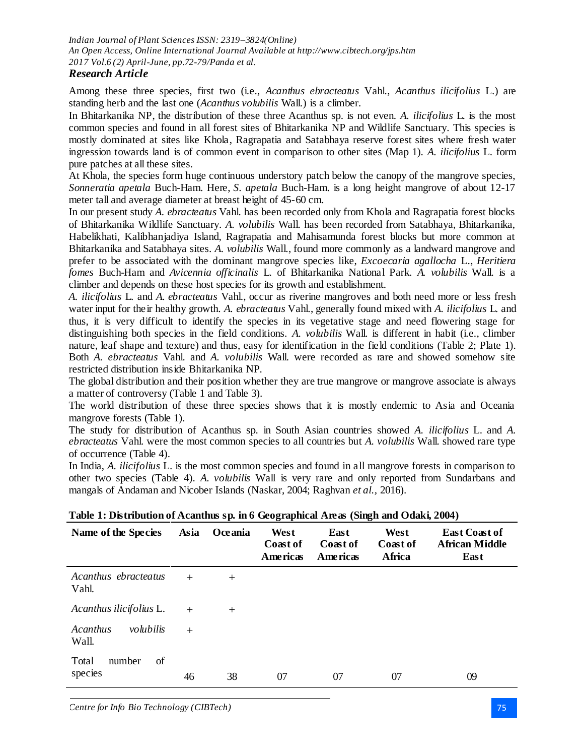### *Research Article*

Among these three species, first two (i.e., *Acanthus ebracteatus* Vahl., *Acanthus ilicifolius* L.) are standing herb and the last one (*Acanthus volubilis* Wall.) is a climber.

In Bhitarkanika NP, the distribution of these three Acanthus sp. is not even. *A. ilicifolius* L. is the most common species and found in all forest sites of Bhitarkanika NP and Wildlife Sanctuary. This species is mostly dominated at sites like Khola, Ragrapatia and Satabhaya reserve forest sites where fresh water ingression towards land is of common event in comparison to other sites (Map 1). *A. ilicifolius* L. form pure patches at all these sites.

At Khola, the species form huge continuous understory patch below the canopy of the mangrove species, *Sonneratia apetala* Buch-Ham. Here, *S. apetala* Buch-Ham. is a long height mangrove of about 12-17 meter tall and average diameter at breast height of 45-60 cm.

In our present study *A. ebracteatus* Vahl. has been recorded only from Khola and Ragrapatia forest blocks of Bhitarkanika Wildlife Sanctuary. *A. volubilis* Wall. has been recorded from Satabhaya, Bhitarkanika, Habelikhati, Kalibhanjadiya Island, Ragrapatia and Mahisamunda forest blocks but more common at Bhitarkanika and Satabhaya sites. *A. volubilis* Wall., found more commonly as a landward mangrove and prefer to be associated with the dominant mangrove species like, *Excoecaria agallocha* L., *Heritiera fomes* Buch-Ham and *Avicennia officinalis* L. of Bhitarkanika National Park. *A. volubilis* Wall. is a climber and depends on these host species for its growth and establishment.

*A. ilicifolius* L. and *A. ebracteatus* Vahl., occur as riverine mangroves and both need more or less fresh water input for their healthy growth. *A. ebracteatus* Vahl., generally found mixed with *A. ilicifolius* L. and thus, it is very difficult to identify the species in its vegetative stage and need flowering stage for distinguishing both species in the field conditions. *A. volubilis* Wall. is different in habit (i.e., climber nature, leaf shape and texture) and thus, easy for identification in the field conditions (Table 2; Plate 1). Both *A. ebracteatus* Vahl. and *A. volubilis* Wall. were recorded as rare and showed somehow site restricted distribution inside Bhitarkanika NP.

The global distribution and their position whether they are true mangrove or mangrove associate is always a matter of controversy (Table 1 and Table 3).

The world distribution of these three species shows that it is mostly endemic to Asia and Oceania mangrove forests (Table 1).

The study for distribution of Acanthus sp. in South Asian countries showed *A. ilicifolius* L. and *A. ebracteatus* Vahl. were the most common species to all countries but *A. volubilis* Wall. showed rare type of occurrence (Table 4).

In India, *A. ilicifolius* L. is the most common species and found in all mangrove forests in comparison to other two species (Table 4). *A. volubilis* Wall is very rare and only reported from Sundarbans and mangals of Andaman and Nicober Islands (Naskar, 2004; Raghvan *et al.,* 2016).

| Name of the Species            | Asia | Oceania | West<br>Coast of<br><b>Americas</b> | East<br>Coast of<br>Americas | West<br>Coast of<br>Africa | <b>East Coast of</b><br><b>African Middle</b><br>East |
|--------------------------------|------|---------|-------------------------------------|------------------------------|----------------------------|-------------------------------------------------------|
| Acanthus ebracteatus<br>Vahl.  | $+$  | $^{+}$  |                                     |                              |                            |                                                       |
| Acanthus ilicifolius L.        | $+$  | $^{+}$  |                                     |                              |                            |                                                       |
| Acanthus<br>volubilis<br>Wall. | $+$  |         |                                     |                              |                            |                                                       |
| of<br>Total<br>number          |      |         |                                     |                              |                            |                                                       |
| species                        | 46   | 38      | 07                                  | 07                           | 07                         | 09                                                    |

**Table 1: Distribution of Acanthus sp. in 6 Geographical Areas (Singh and Odaki, 2004)**

*Centre for Info Bio Technology (CIBTech)* 75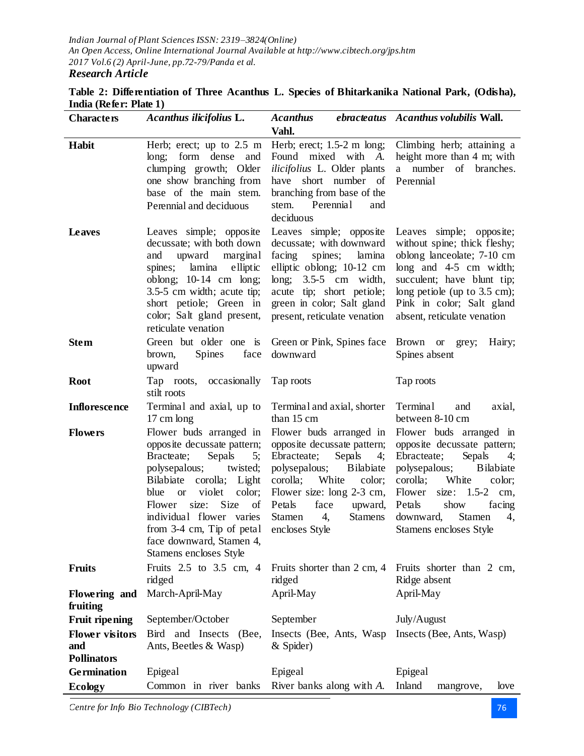**Table 2: Differentiation of Three Acanthus L. Species of Bhitarkanika National Park, (Odisha), India (Refer: Plate 1)**

| <b>Characters</b>                                   | Acanthus ilicifolius L.                                                                                                                                                                                                                                                                                                                    | <b>Acanthus</b>                                                                                                                                                                                                                                                          | ebracteatus Acanthus volubilis Wall.                                                                                                                                                                                                                                         |
|-----------------------------------------------------|--------------------------------------------------------------------------------------------------------------------------------------------------------------------------------------------------------------------------------------------------------------------------------------------------------------------------------------------|--------------------------------------------------------------------------------------------------------------------------------------------------------------------------------------------------------------------------------------------------------------------------|------------------------------------------------------------------------------------------------------------------------------------------------------------------------------------------------------------------------------------------------------------------------------|
|                                                     |                                                                                                                                                                                                                                                                                                                                            | Vahl.                                                                                                                                                                                                                                                                    |                                                                                                                                                                                                                                                                              |
| Habit                                               | long; form dense<br>and<br>clumping growth; Older<br>one show branching from<br>base of the main stem.<br>Perennial and deciduous                                                                                                                                                                                                          | Herb; erect; up to $2.5$ m Herb; erect; $1.5-2$ m long;<br>Found mixed with A.<br><i>ilicifolius</i> L. Older plants<br>short number of<br>have<br>branching from base of the<br>stem.<br>Perennial<br>and<br>deciduous                                                  | Climbing herb; attaining a<br>height more than 4 m; with<br>a number of branches.<br>Perennial                                                                                                                                                                               |
| <b>Leaves</b>                                       | Leaves simple; opposite<br>decussate; with both down<br>upward marginal<br>and<br>lamina elliptic<br>spines;<br>oblong; $10-14$ cm long;<br>3.5-5 cm width; acute tip;<br>short petiole; Green in<br>color; Salt gland present,<br>reticulate venation                                                                                     | Leaves simple; opposite<br>decussate; with downward<br>facing<br>spines;<br>lamina<br>elliptic oblong; 10-12 cm<br>long; $3.5-5$ cm width,<br>acute tip; short petiole;<br>green in color; Salt gland<br>present, reticulate venation                                    | Leaves simple; opposite;<br>without spine; thick fleshy;<br>oblong lanceolate; 7-10 cm<br>long and 4-5 cm width;<br>succulent; have blunt tip;<br>long petiole (up to $3.5$ cm);<br>Pink in color; Salt gland<br>absent, reticulate venation                                 |
| <b>Stem</b>                                         | Green but older one is<br>Spines<br>brown,<br>face<br>upward                                                                                                                                                                                                                                                                               | Green or Pink, Spines face<br>downward                                                                                                                                                                                                                                   | Brown or grey;<br>Hairy;<br>Spines absent                                                                                                                                                                                                                                    |
| <b>Root</b>                                         | Tap roots, occasionally<br>stilt roots                                                                                                                                                                                                                                                                                                     | Tap roots                                                                                                                                                                                                                                                                | Tap roots                                                                                                                                                                                                                                                                    |
| <b>Inflorescence</b>                                | Terminal and axial, up to<br>17 cm long                                                                                                                                                                                                                                                                                                    | Terminal and axial, shorter<br>than 15 cm                                                                                                                                                                                                                                | Terminal<br>and<br>axial,<br>between 8-10 cm                                                                                                                                                                                                                                 |
| <b>Flowers</b>                                      | Flower buds arranged in<br>opposite decussate pattern;<br>Sepals<br>Bracteate;<br>5;<br>polysepalous;<br>twisted;<br>Bilabiate corolla; Light<br>violet<br>color;<br>blue<br><sub>or</sub><br>Size<br>size:<br>of<br>Flower<br>individual flower varies<br>from 3-4 cm, Tip of petal<br>face downward, Stamen 4,<br>Stamens encloses Style | Flower buds arranged in<br>opposite decussate pattern;<br>Ebracteate;<br>Sepals<br>4;<br><b>B</b> ilabiate<br>polysepalous;<br>corolla;<br>White<br>color;<br>Flower size: long 2-3 cm,<br>Petals<br>face<br>upward,<br>Stamen<br>4,<br><b>Stamens</b><br>encloses Style | Flower buds arranged in<br>opposite decussate pattern;<br>Sepals<br>Ebracteate;<br>4;<br><b>B</b> ilabiate<br>polysepalous;<br>corolla;<br>White<br>color;<br>Flower<br>size: $1.5-2$ cm,<br>show<br>Petals<br>facing<br>downward,<br>Stamen<br>4,<br>Stamens encloses Style |
| <b>Fruits</b>                                       | Fruits 2.5 to 3.5 cm, 4<br>ridged                                                                                                                                                                                                                                                                                                          | Fruits shorter than 2 cm, 4<br>ridged                                                                                                                                                                                                                                    | Fruits shorter than 2 cm,<br>Ridge absent                                                                                                                                                                                                                                    |
| Flowering and<br>fruiting                           | March-April-May                                                                                                                                                                                                                                                                                                                            | April-May                                                                                                                                                                                                                                                                | April-May                                                                                                                                                                                                                                                                    |
| <b>Fruit ripening</b>                               | September/October                                                                                                                                                                                                                                                                                                                          | September                                                                                                                                                                                                                                                                | July/August                                                                                                                                                                                                                                                                  |
| <b>Flower visitors</b><br>and<br><b>Pollinators</b> | Bird and Insects<br>(Bee,<br>Ants, Beetles & Wasp)                                                                                                                                                                                                                                                                                         | Insects (Bee, Ants, Wasp)<br>& Spider)                                                                                                                                                                                                                                   | Insects (Bee, Ants, Wasp)                                                                                                                                                                                                                                                    |
| <b>Germination</b>                                  | Epigeal                                                                                                                                                                                                                                                                                                                                    | Epigeal                                                                                                                                                                                                                                                                  | Epigeal                                                                                                                                                                                                                                                                      |
| <b>Ecology</b>                                      | Common in river banks                                                                                                                                                                                                                                                                                                                      | River banks along with A.                                                                                                                                                                                                                                                | Inland<br>mangrove,<br>love                                                                                                                                                                                                                                                  |

*Centre for Info Bio Technology (CIBTech)* 76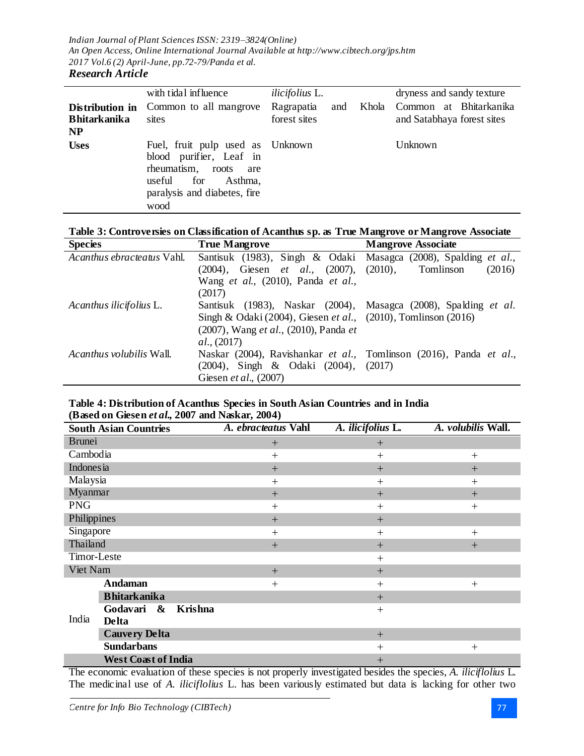### with tidal influence *ilicifolius* L. dryness and sandy texture **Distribution in Bhitarkanika NP** Common to all mangrove sites Ragrapatia and Khola forest sites Common at Bhitarkanika and Satabhaya forest sites **Uses** Fuel, fruit pulp used as blood purifier, Leaf in rheumatism, roots are useful for Asthma, paralysis and diabetes, fire wood Unknown Unknown

# **Table 3: Controversies on Classification of Acanthus sp. as True Mangrove or Mangrove Associate**

| <b>Species</b>                  | <b>True Mangrove</b>                                                    | <b>Mangrove Associate</b> |
|---------------------------------|-------------------------------------------------------------------------|---------------------------|
| Acanthus ebracteatus Vahl.      | Santisuk (1983), Singh & Odaki Masagca (2008), Spalding <i>et al.</i> , |                           |
|                                 | $(2004)$ , Giesen <i>et al.</i> , $(2007)$ , $(2010)$ ,                 | Tomlinson<br>(2016)       |
|                                 | Wang et al., (2010), Panda et al.,                                      |                           |
|                                 | (2017)                                                                  |                           |
| Acanthus ilicifolius L.         | Santisuk (1983), Naskar (2004), Masagca (2008), Spalding et al.         |                           |
|                                 | Singh & Odaki (2004), Giesen et al., (2010), Tomlinson (2016)           |                           |
|                                 | (2007), Wang et al., (2010), Panda et                                   |                           |
|                                 | al., (2017)                                                             |                           |
| <i>Acanthus volubilis</i> Wall. | Naskar (2004), Ravishankar et al., Tomlinson (2016), Panda et al.,      |                           |
|                                 | (2004), Singh & Odaki (2004), (2017)                                    |                           |
|                                 | Giesen et al., (2007)                                                   |                           |

### **Table 4: Distribution of Acanthus Species in South Asian Countries and in India (Based on Giesen** *et al.,* **2007 and Naskar, 2004)**

| <b>South Asian Countries</b>                    | A. ebracteatus Vahl | A. ilicifolius L. | A. volubilis Wall. |
|-------------------------------------------------|---------------------|-------------------|--------------------|
| <b>Brunei</b>                                   | $^{+}$              | $+$               |                    |
| Cambodia                                        | $^{+}$              | $+$               | $^{+}$             |
| Indonesia                                       | $+$                 | $+$               | $^{+}$             |
| Malaysia                                        | $^{+}$              | $^{+}$            | $^{+}$             |
| Myanmar                                         | $+$                 | $+$               | $+$                |
| <b>PNG</b>                                      | $^{+}$              | $+$               | $^{+}$             |
| Philippines                                     | $+$                 | $+$               |                    |
| Singapore                                       | $^{+}$              | $+$               | $^{+}$             |
| Thailand                                        | $+$                 | $+$               | $+$                |
| Timor-Leste                                     |                     | $+$               |                    |
| Viet Nam                                        | $+$                 | $+$               |                    |
| Andaman                                         | $+$                 | $+$               | $^{+}$             |
| <b>Bhitarkanika</b>                             |                     | $+$               |                    |
| <b>Krishna</b><br>Godavari<br>$\boldsymbol{\&}$ |                     | $+$               |                    |
| India<br>Delta                                  |                     |                   |                    |
| <b>Cauvery Delta</b>                            |                     | $+$               |                    |
| <b>Sundarbans</b>                               |                     | $^{+}$            | $^{+}$             |
| <b>West Coast of India</b>                      |                     | $+$               |                    |

The economic evaluation of these species is not properly investigated besides the species, *A. iliciflolius* L. The medicinal use of *A. iliciflolius* L. has been variously estimated but data is lacking for other two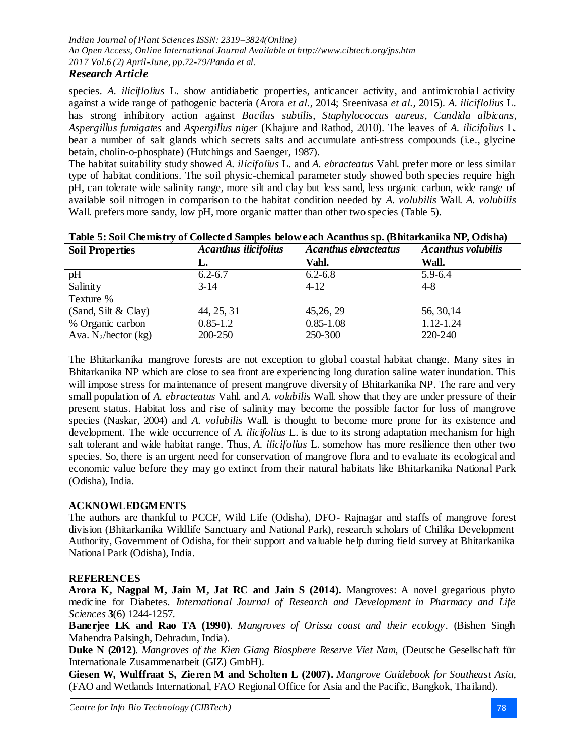### species. *A. iliciflolius* L. show antidiabetic properties, anticancer activity, and antimicrobial activity against a wide range of pathogenic bacteria (Arora *et al.,* 2014; Sreenivasa *et al.,* 2015). *A. iliciflolius* L. has strong inhibitory action against *Bacilus subtilis*, *Staphylococcus aureus*, *Candida albicans*, *Aspergillus fumigates* and *Aspergillus niger* (Khajure and Rathod, 2010). The leaves of *A. ilicifolius* L. bear a number of salt glands which secrets salts and accumulate anti-stress compounds (i.e., glycine betain, cholin-o-phosphate) (Hutchings and Saenger, 1987).

The habitat suitability study showed *A. ilicifolius* L. and *A. ebracteatus* Vahl. prefer more or less similar type of habitat conditions. The soil physic-chemical parameter study showed both species require high pH, can tolerate wide salinity range, more silt and clay but less sand, less organic carbon, wide range of available soil nitrogen in comparison to the habitat condition needed by *A. volubilis* Wall. *A. volubilis*  Wall, prefers more sandy, low pH, more organic matter than other two species (Table 5).

| <b>Soil Properties</b>  | <b>Acanthus ilicifolius</b> | <b>Acanthus ebracteatus</b> | <b>Acanthus volubilis</b> |
|-------------------------|-----------------------------|-----------------------------|---------------------------|
|                         | L.                          | Vahl.                       | Wall.                     |
| pH                      | $6.2 - 6.7$                 | $6.2 - 6.8$                 | $5.9 - 6.4$               |
| Salinity                | $3-14$                      | $4 - 12$                    | $4 - 8$                   |
| Texture %               |                             |                             |                           |
| (Sand, Silt & Clay)     | 44, 25, 31                  | 45, 26, 29                  | 56, 30, 14                |
| % Organic carbon        | $0.85 - 1.2$                | $0.85 - 1.08$               | 1.12-1.24                 |
| Ava. $N_2$ /hector (kg) | 200-250                     | 250-300                     | 220-240                   |

|  | Table 5: Soil Chemistry of Collected Samples below each Acanthus sp. (Bhitarkanika NP, Odisha) |  |  |  |  |  |
|--|------------------------------------------------------------------------------------------------|--|--|--|--|--|
|  |                                                                                                |  |  |  |  |  |

The Bhitarkanika mangrove forests are not exception to global coastal habitat change. Many sites in Bhitarkanika NP which are close to sea front are experiencing long duration saline water inundation. This will impose stress for maintenance of present mangrove diversity of Bhitarkanika NP. The rare and very small population of *A. ebracteatus* Vahl. and *A. volubilis* Wall. show that they are under pressure of their present status. Habitat loss and rise of salinity may become the possible factor for loss of mangrove species (Naskar, 2004) and *A. volubilis* Wall. is thought to become more prone for its existence and development. The wide occurrence of *A. ilicifolius* L. is due to its strong adaptation mechanism for high salt tolerant and wide habitat range. Thus, *A. ilicifolius* L. somehow has more resilience then other two species. So, there is an urgent need for conservation of mangrove flora and to evaluate its ecological and economic value before they may go extinct from their natural habitats like Bhitarkanika National Park (Odisha), India.

## **ACKNOWLEDGMENTS**

The authors are thankful to PCCF, Wild Life (Odisha), DFO- Rajnagar and staffs of mangrove forest division (Bhitarkanika Wildlife Sanctuary and National Park), research scholars of Chilika Development Authority, Government of Odisha, for their support and valuable help during field survey at Bhitarkanika National Park (Odisha), India.

## **REFERENCES**

**Arora K, Nagpal M, Jain M, Jat RC and Jain S (2014).** Mangroves: A novel gregarious phyto medicine for Diabetes. *International Journal of Research and Development in Pharmacy and Life Sciences* **3**(6) 1244-1257.

**Banerjee LK and Rao TA (1990)**. *Mangroves of Orissa coast and their ecology*. (Bishen Singh Mahendra Palsingh, Dehradun, India).

**Duke N (2012)**. *Mangroves of the Kien Giang Biosphere Reserve Viet Nam,* (Deutsche Gesellschaft für Internationale Zusammenarbeit (GIZ) GmbH).

**Giesen W, Wulffraat S, Zieren M and Scholten L (2007).** *Mangrove Guidebook for Southeast Asia,* (FAO and Wetlands International, FAO Regional Office for Asia and the Pacific, Bangkok, Thailand).